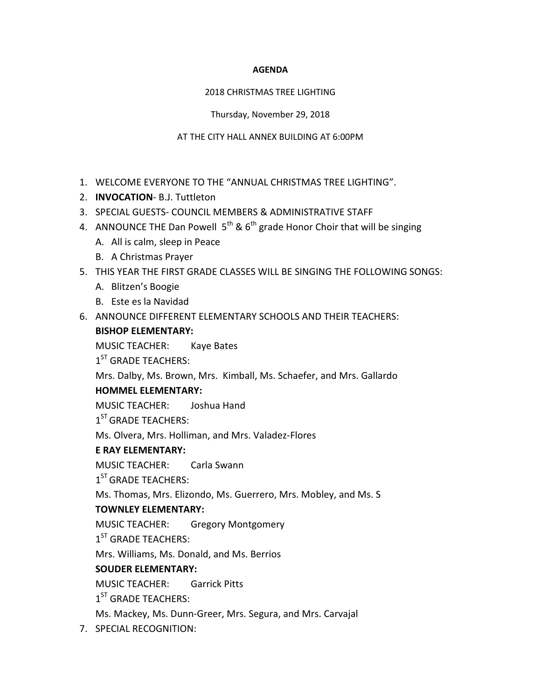#### **AGENDA**

#### 2018 CHRISTMAS TREE LIGHTING

Thursday, November 29, 2018

#### AT THE CITY HALL ANNEX BUILDING AT 6:00PM

- 1. WELCOME EVERYONE TO THE "ANNUAL CHRISTMAS TREE LIGHTING".
- 2. **INVOCATION** B.J. Tuttleton
- 3. SPECIAL GUESTS- COUNCIL MEMBERS & ADMINISTRATIVE STAFF
- 4. ANNOUNCE THE Dan Powell  $5<sup>th</sup>$  &  $6<sup>th</sup>$  grade Honor Choir that will be singing
	- A. All is calm, sleep in Peace
	- B. A Christmas Prayer
- 5. THIS YEAR THE FIRST GRADE CLASSES WILL BE SINGING THE FOLLOWING SONGS:
	- A. Blitzen's Boogie
	- B. Este es la Navidad
- 6. ANNOUNCE DIFFERENT ELEMENTARY SCHOOLS AND THEIR TEACHERS: **BISHOP ELEMENTARY:**

MUSIC TEACHER: Kaye Bates

1<sup>ST</sup> GRADE TEACHERS:

Mrs. Dalby, Ms. Brown, Mrs. Kimball, Ms. Schaefer, and Mrs. Gallardo

# **HOMMEL ELEMENTARY:**

MUSIC TEACHER: Joshua Hand

1<sup>ST</sup> GRADE TEACHERS:

Ms. Olvera, Mrs. Holliman, and Mrs. Valadez-Flores

### **E RAY ELEMENTARY:**

MUSIC TEACHER: Carla Swann

1<sup>ST</sup> GRADE TEACHERS:

Ms. Thomas, Mrs. Elizondo, Ms. Guerrero, Mrs. Mobley, and Ms. S

# **TOWNLEY ELEMENTARY:**

MUSIC TEACHER: Gregory Montgomery

 $1<sup>ST</sup>$  GRADE TEACHERS:

Mrs. Williams, Ms. Donald, and Ms. Berrios

# **SOUDER ELEMENTARY:**

MUSIC TEACHER: Garrick Pitts

 $1<sup>ST</sup>$  GRADE TEACHERS:

Ms. Mackey, Ms. Dunn-Greer, Mrs. Segura, and Mrs. Carvajal

7. SPECIAL RECOGNITION: